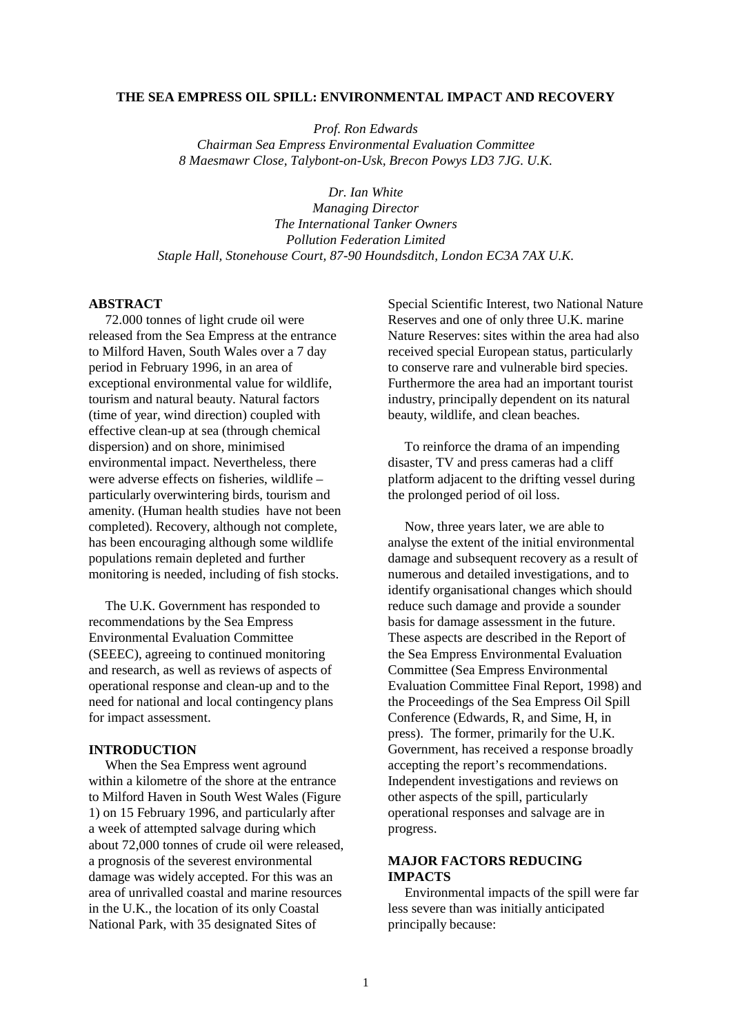#### **THE SEA EMPRESS OIL SPILL: ENVIRONMENTAL IMPACT AND RECOVERY**

*Prof. Ron Edwards Chairman Sea Empress Environmental Evaluation Committee 8 Maesmawr Close, Talybont-on-Usk, Brecon Powys LD3 7JG. U.K.*

*Dr. Ian White Managing Director The International Tanker Owners Pollution Federation Limited Staple Hall, Stonehouse Court, 87-90 Houndsditch, London EC3A 7AX U.K.*

### **ABSTRACT**

 72.000 tonnes of light crude oil were released from the Sea Empress at the entrance to Milford Haven, South Wales over a 7 day period in February 1996, in an area of exceptional environmental value for wildlife, tourism and natural beauty. Natural factors (time of year, wind direction) coupled with effective clean-up at sea (through chemical dispersion) and on shore, minimised environmental impact. Nevertheless, there were adverse effects on fisheries, wildlife – particularly overwintering birds, tourism and amenity. (Human health studies have not been completed). Recovery, although not complete, has been encouraging although some wildlife populations remain depleted and further monitoring is needed, including of fish stocks.

 The U.K. Government has responded to recommendations by the Sea Empress Environmental Evaluation Committee (SEEEC), agreeing to continued monitoring and research, as well as reviews of aspects of operational response and clean-up and to the need for national and local contingency plans for impact assessment.

### **INTRODUCTION**

 When the Sea Empress went aground within a kilometre of the shore at the entrance to Milford Haven in South West Wales (Figure 1) on 15 February 1996, and particularly after a week of attempted salvage during which about 72,000 tonnes of crude oil were released, a prognosis of the severest environmental damage was widely accepted. For this was an area of unrivalled coastal and marine resources in the U.K., the location of its only Coastal National Park, with 35 designated Sites of

Special Scientific Interest, two National Nature Reserves and one of only three U.K. marine Nature Reserves: sites within the area had also received special European status, particularly to conserve rare and vulnerable bird species. Furthermore the area had an important tourist industry, principally dependent on its natural beauty, wildlife, and clean beaches.

 To reinforce the drama of an impending disaster, TV and press cameras had a cliff platform adjacent to the drifting vessel during the prolonged period of oil loss.

 Now, three years later, we are able to analyse the extent of the initial environmental damage and subsequent recovery as a result of numerous and detailed investigations, and to identify organisational changes which should reduce such damage and provide a sounder basis for damage assessment in the future. These aspects are described in the Report of the Sea Empress Environmental Evaluation Committee (Sea Empress Environmental Evaluation Committee Final Report, 1998) and the Proceedings of the Sea Empress Oil Spill Conference (Edwards, R, and Sime, H, in press). The former, primarily for the U.K. Government, has received a response broadly accepting the report's recommendations. Independent investigations and reviews on other aspects of the spill, particularly operational responses and salvage are in progress.

## **MAJOR FACTORS REDUCING IMPACTS**

 Environmental impacts of the spill were far less severe than was initially anticipated principally because: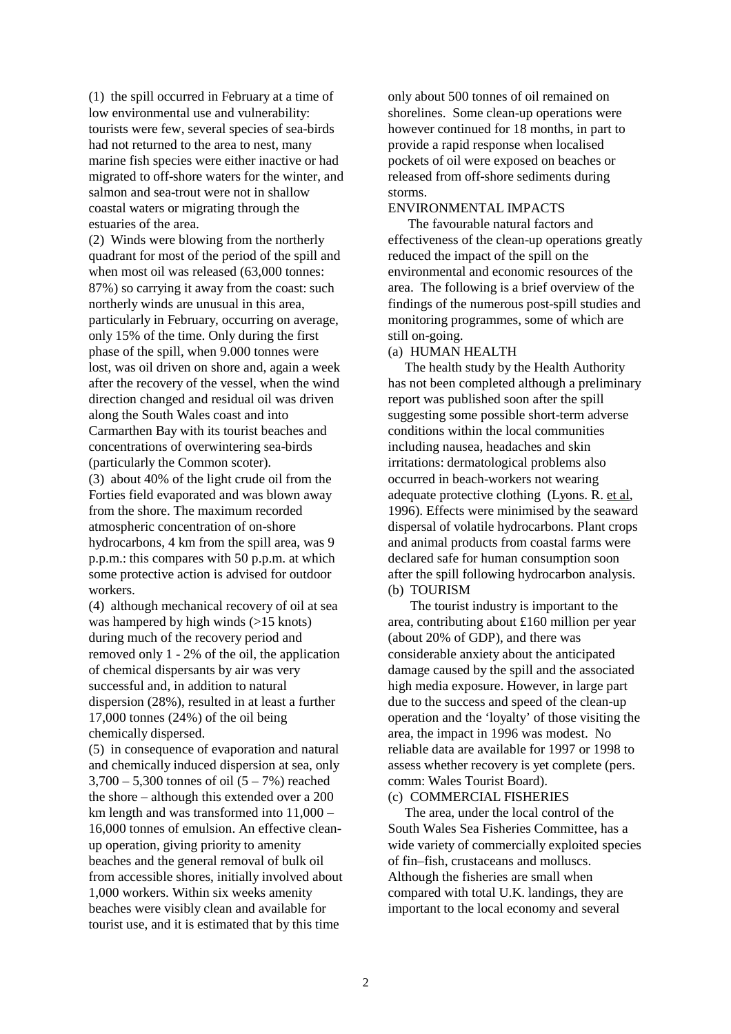(1) the spill occurred in February at a time of low environmental use and vulnerability: tourists were few, several species of sea-birds had not returned to the area to nest, many marine fish species were either inactive or had migrated to off-shore waters for the winter, and salmon and sea-trout were not in shallow coastal waters or migrating through the estuaries of the area.

(2) Winds were blowing from the northerly quadrant for most of the period of the spill and when most oil was released (63,000 tonnes: 87%) so carrying it away from the coast: such northerly winds are unusual in this area, particularly in February, occurring on average, only 15% of the time. Only during the first phase of the spill, when 9.000 tonnes were lost, was oil driven on shore and, again a week after the recovery of the vessel, when the wind direction changed and residual oil was driven along the South Wales coast and into Carmarthen Bay with its tourist beaches and concentrations of overwintering sea-birds (particularly the Common scoter).

(3) about 40% of the light crude oil from the Forties field evaporated and was blown away from the shore. The maximum recorded atmospheric concentration of on-shore hydrocarbons, 4 km from the spill area, was 9 p.p.m.: this compares with 50 p.p.m. at which some protective action is advised for outdoor workers.

(4) although mechanical recovery of oil at sea was hampered by high winds (>15 knots) during much of the recovery period and removed only 1 - 2% of the oil, the application of chemical dispersants by air was very successful and, in addition to natural dispersion (28%), resulted in at least a further 17,000 tonnes (24%) of the oil being chemically dispersed.

(5) in consequence of evaporation and natural and chemically induced dispersion at sea, only  $3,700 - 5,300$  tonnes of oil  $(5 - 7%)$  reached the shore – although this extended over a 200 km length and was transformed into 11,000 – 16,000 tonnes of emulsion. An effective cleanup operation, giving priority to amenity beaches and the general removal of bulk oil from accessible shores, initially involved about 1,000 workers. Within six weeks amenity beaches were visibly clean and available for tourist use, and it is estimated that by this time

only about 500 tonnes of oil remained on shorelines. Some clean-up operations were however continued for 18 months, in part to provide a rapid response when localised pockets of oil were exposed on beaches or released from off-shore sediments during storms.

# ENVIRONMENTAL IMPACTS

 The favourable natural factors and effectiveness of the clean-up operations greatly reduced the impact of the spill on the environmental and economic resources of the area. The following is a brief overview of the findings of the numerous post-spill studies and monitoring programmes, some of which are still on-going.

(a) HUMAN HEALTH

 The health study by the Health Authority has not been completed although a preliminary report was published soon after the spill suggesting some possible short-term adverse conditions within the local communities including nausea, headaches and skin irritations: dermatological problems also occurred in beach-workers not wearing adequate protective clothing (Lyons. R. et al, 1996). Effects were minimised by the seaward dispersal of volatile hydrocarbons. Plant crops and animal products from coastal farms were declared safe for human consumption soon after the spill following hydrocarbon analysis. (b) TOURISM

The tourist industry is important to the area, contributing about £160 million per year (about 20% of GDP), and there was considerable anxiety about the anticipated damage caused by the spill and the associated high media exposure. However, in large part due to the success and speed of the clean-up operation and the 'loyalty' of those visiting the area, the impact in 1996 was modest. No reliable data are available for 1997 or 1998 to assess whether recovery is yet complete (pers. comm: Wales Tourist Board).

#### (c) COMMERCIAL FISHERIES

 The area, under the local control of the South Wales Sea Fisheries Committee, has a wide variety of commercially exploited species of fin–fish, crustaceans and molluscs. Although the fisheries are small when compared with total U.K. landings, they are important to the local economy and several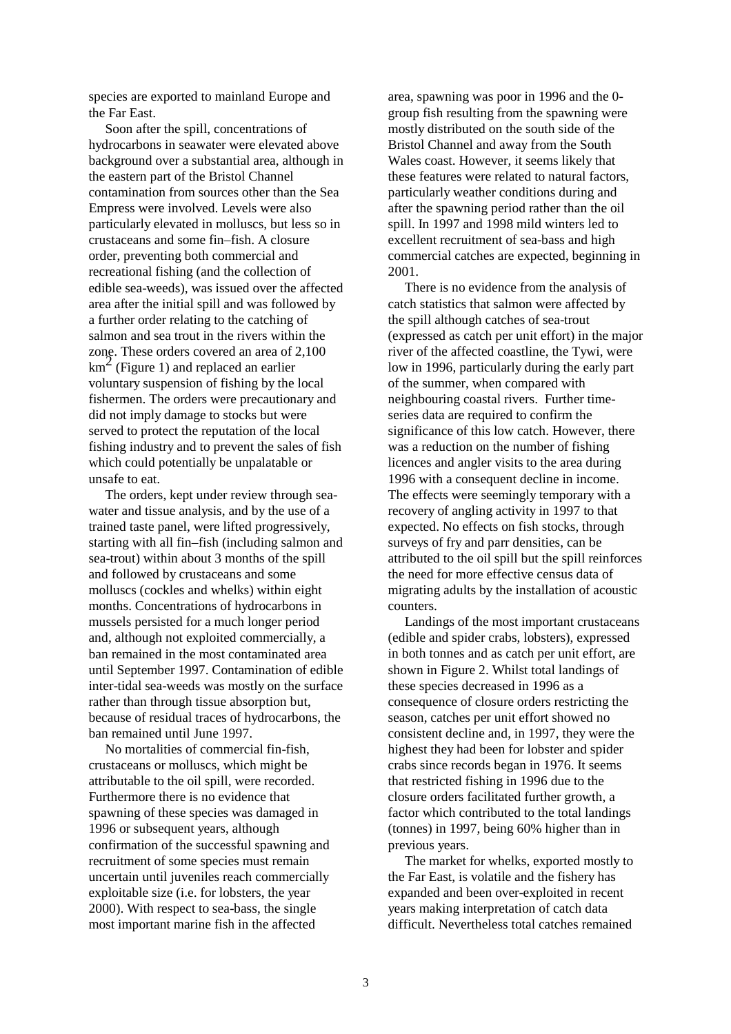species are exported to mainland Europe and the Far East.

 Soon after the spill, concentrations of hydrocarbons in seawater were elevated above background over a substantial area, although in the eastern part of the Bristol Channel contamination from sources other than the Sea Empress were involved. Levels were also particularly elevated in molluscs, but less so in crustaceans and some fin–fish. A closure order, preventing both commercial and recreational fishing (and the collection of edible sea-weeds), was issued over the affected area after the initial spill and was followed by a further order relating to the catching of salmon and sea trout in the rivers within the zone. These orders covered an area of 2,100  $km<sup>2</sup>$  (Figure 1) and replaced an earlier voluntary suspension of fishing by the local fishermen. The orders were precautionary and did not imply damage to stocks but were served to protect the reputation of the local fishing industry and to prevent the sales of fish which could potentially be unpalatable or unsafe to eat.

 The orders, kept under review through seawater and tissue analysis, and by the use of a trained taste panel, were lifted progressively, starting with all fin–fish (including salmon and sea-trout) within about 3 months of the spill and followed by crustaceans and some molluscs (cockles and whelks) within eight months. Concentrations of hydrocarbons in mussels persisted for a much longer period and, although not exploited commercially, a ban remained in the most contaminated area until September 1997. Contamination of edible inter-tidal sea-weeds was mostly on the surface rather than through tissue absorption but, because of residual traces of hydrocarbons, the ban remained until June 1997.

 No mortalities of commercial fin-fish, crustaceans or molluscs, which might be attributable to the oil spill, were recorded. Furthermore there is no evidence that spawning of these species was damaged in 1996 or subsequent years, although confirmation of the successful spawning and recruitment of some species must remain uncertain until juveniles reach commercially exploitable size (i.e. for lobsters, the year 2000). With respect to sea-bass, the single most important marine fish in the affected

area, spawning was poor in 1996 and the 0 group fish resulting from the spawning were mostly distributed on the south side of the Bristol Channel and away from the South Wales coast. However, it seems likely that these features were related to natural factors, particularly weather conditions during and after the spawning period rather than the oil spill. In 1997 and 1998 mild winters led to excellent recruitment of sea-bass and high commercial catches are expected, beginning in 2001.

 There is no evidence from the analysis of catch statistics that salmon were affected by the spill although catches of sea-trout (expressed as catch per unit effort) in the major river of the affected coastline, the Tywi, were low in 1996, particularly during the early part of the summer, when compared with neighbouring coastal rivers. Further timeseries data are required to confirm the significance of this low catch. However, there was a reduction on the number of fishing licences and angler visits to the area during 1996 with a consequent decline in income. The effects were seemingly temporary with a recovery of angling activity in 1997 to that expected. No effects on fish stocks, through surveys of fry and parr densities, can be attributed to the oil spill but the spill reinforces the need for more effective census data of migrating adults by the installation of acoustic counters.

 Landings of the most important crustaceans (edible and spider crabs, lobsters), expressed in both tonnes and as catch per unit effort, are shown in Figure 2. Whilst total landings of these species decreased in 1996 as a consequence of closure orders restricting the season, catches per unit effort showed no consistent decline and, in 1997, they were the highest they had been for lobster and spider crabs since records began in 1976. It seems that restricted fishing in 1996 due to the closure orders facilitated further growth, a factor which contributed to the total landings (tonnes) in 1997, being 60% higher than in previous years.

 The market for whelks, exported mostly to the Far East, is volatile and the fishery has expanded and been over-exploited in recent years making interpretation of catch data difficult. Nevertheless total catches remained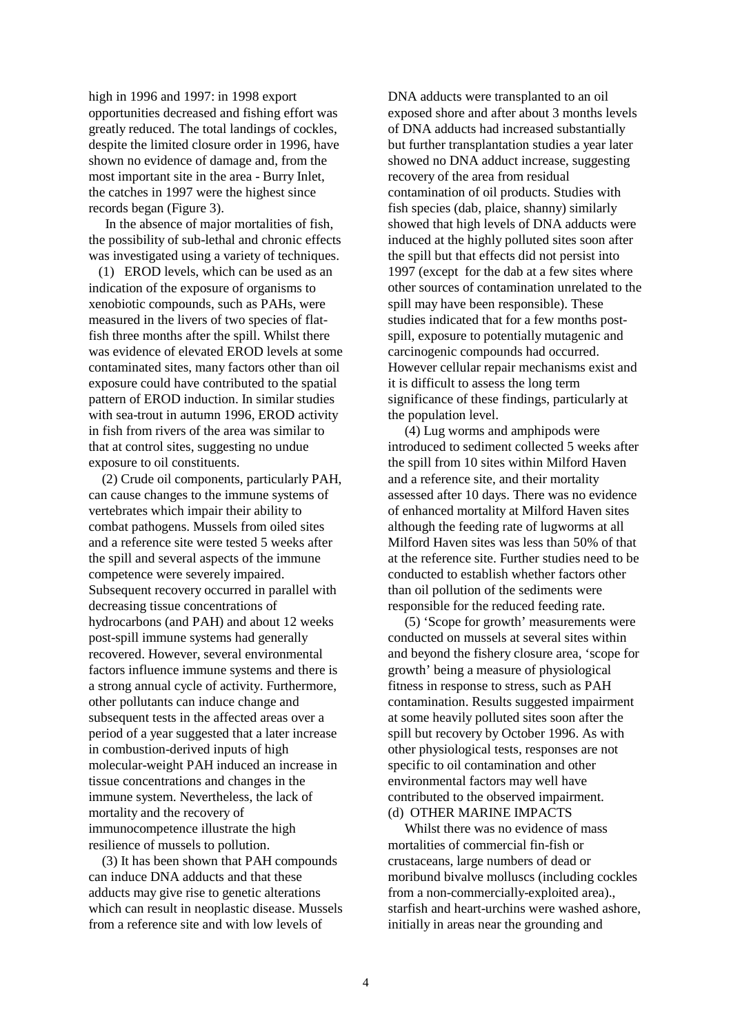high in 1996 and 1997: in 1998 export opportunities decreased and fishing effort was greatly reduced. The total landings of cockles, despite the limited closure order in 1996, have shown no evidence of damage and, from the most important site in the area - Burry Inlet, the catches in 1997 were the highest since records began (Figure 3).

 In the absence of major mortalities of fish, the possibility of sub-lethal and chronic effects was investigated using a variety of techniques.

 (1) EROD levels, which can be used as an indication of the exposure of organisms to xenobiotic compounds, such as PAHs, were measured in the livers of two species of flatfish three months after the spill. Whilst there was evidence of elevated EROD levels at some contaminated sites, many factors other than oil exposure could have contributed to the spatial pattern of EROD induction. In similar studies with sea-trout in autumn 1996, EROD activity in fish from rivers of the area was similar to that at control sites, suggesting no undue exposure to oil constituents.

 (2) Crude oil components, particularly PAH, can cause changes to the immune systems of vertebrates which impair their ability to combat pathogens. Mussels from oiled sites and a reference site were tested 5 weeks after the spill and several aspects of the immune competence were severely impaired. Subsequent recovery occurred in parallel with decreasing tissue concentrations of hydrocarbons (and PAH) and about 12 weeks post-spill immune systems had generally recovered. However, several environmental factors influence immune systems and there is a strong annual cycle of activity. Furthermore, other pollutants can induce change and subsequent tests in the affected areas over a period of a year suggested that a later increase in combustion-derived inputs of high molecular-weight PAH induced an increase in tissue concentrations and changes in the immune system. Nevertheless, the lack of mortality and the recovery of immunocompetence illustrate the high resilience of mussels to pollution.

 (3) It has been shown that PAH compounds can induce DNA adducts and that these adducts may give rise to genetic alterations which can result in neoplastic disease. Mussels from a reference site and with low levels of

DNA adducts were transplanted to an oil exposed shore and after about 3 months levels of DNA adducts had increased substantially but further transplantation studies a year later showed no DNA adduct increase, suggesting recovery of the area from residual contamination of oil products. Studies with fish species (dab, plaice, shanny) similarly showed that high levels of DNA adducts were induced at the highly polluted sites soon after the spill but that effects did not persist into 1997 (except for the dab at a few sites where other sources of contamination unrelated to the spill may have been responsible). These studies indicated that for a few months postspill, exposure to potentially mutagenic and carcinogenic compounds had occurred. However cellular repair mechanisms exist and it is difficult to assess the long term significance of these findings, particularly at the population level.

 (4) Lug worms and amphipods were introduced to sediment collected 5 weeks after the spill from 10 sites within Milford Haven and a reference site, and their mortality assessed after 10 days. There was no evidence of enhanced mortality at Milford Haven sites although the feeding rate of lugworms at all Milford Haven sites was less than 50% of that at the reference site. Further studies need to be conducted to establish whether factors other than oil pollution of the sediments were responsible for the reduced feeding rate.

 (5) 'Scope for growth' measurements were conducted on mussels at several sites within and beyond the fishery closure area, 'scope for growth' being a measure of physiological fitness in response to stress, such as PAH contamination. Results suggested impairment at some heavily polluted sites soon after the spill but recovery by October 1996. As with other physiological tests, responses are not specific to oil contamination and other environmental factors may well have contributed to the observed impairment. (d) OTHER MARINE IMPACTS

 Whilst there was no evidence of mass mortalities of commercial fin-fish or crustaceans, large numbers of dead or moribund bivalve molluscs (including cockles from a non-commercially-exploited area)., starfish and heart-urchins were washed ashore, initially in areas near the grounding and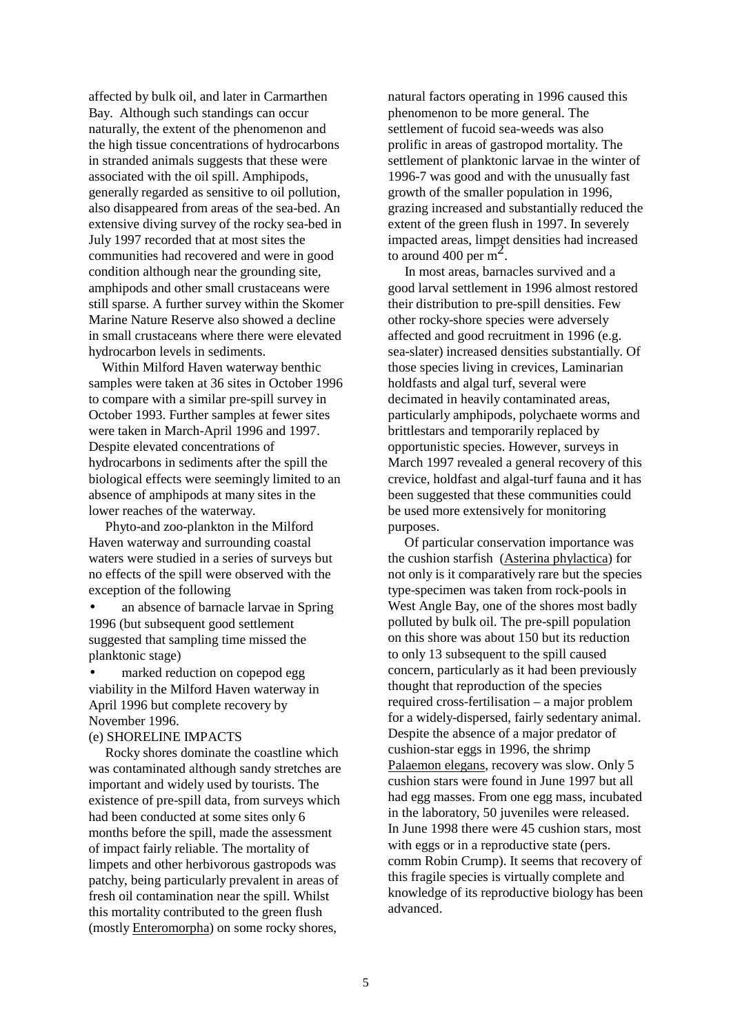affected by bulk oil, and later in Carmarthen Bay. Although such standings can occur naturally, the extent of the phenomenon and the high tissue concentrations of hydrocarbons in stranded animals suggests that these were associated with the oil spill. Amphipods, generally regarded as sensitive to oil pollution, also disappeared from areas of the sea-bed. An extensive diving survey of the rocky sea-bed in July 1997 recorded that at most sites the communities had recovered and were in good condition although near the grounding site, amphipods and other small crustaceans were still sparse. A further survey within the Skomer Marine Nature Reserve also showed a decline in small crustaceans where there were elevated hydrocarbon levels in sediments.

 Within Milford Haven waterway benthic samples were taken at 36 sites in October 1996 to compare with a similar pre-spill survey in October 1993. Further samples at fewer sites were taken in March-April 1996 and 1997. Despite elevated concentrations of hydrocarbons in sediments after the spill the biological effects were seemingly limited to an absence of amphipods at many sites in the lower reaches of the waterway.

 Phyto-and zoo-plankton in the Milford Haven waterway and surrounding coastal waters were studied in a series of surveys but no effects of the spill were observed with the exception of the following

• an absence of barnacle larvae in Spring 1996 (but subsequent good settlement suggested that sampling time missed the planktonic stage)

marked reduction on copepod egg viability in the Milford Haven waterway in April 1996 but complete recovery by November 1996.

### (e) SHORELINE IMPACTS

 Rocky shores dominate the coastline which was contaminated although sandy stretches are important and widely used by tourists. The existence of pre-spill data, from surveys which had been conducted at some sites only 6 months before the spill, made the assessment of impact fairly reliable. The mortality of limpets and other herbivorous gastropods was patchy, being particularly prevalent in areas of fresh oil contamination near the spill. Whilst this mortality contributed to the green flush (mostly Enteromorpha) on some rocky shores,

natural factors operating in 1996 caused this phenomenon to be more general. The settlement of fucoid sea-weeds was also prolific in areas of gastropod mortality. The settlement of planktonic larvae in the winter of 1996-7 was good and with the unusually fast growth of the smaller population in 1996, grazing increased and substantially reduced the extent of the green flush in 1997. In severely impacted areas, limpet densities had increased to around 400 per  $m^2$ .

 In most areas, barnacles survived and a good larval settlement in 1996 almost restored their distribution to pre-spill densities. Few other rocky-shore species were adversely affected and good recruitment in 1996 (e.g. sea-slater) increased densities substantially. Of those species living in crevices, Laminarian holdfasts and algal turf, several were decimated in heavily contaminated areas, particularly amphipods, polychaete worms and brittlestars and temporarily replaced by opportunistic species. However, surveys in March 1997 revealed a general recovery of this crevice, holdfast and algal-turf fauna and it has been suggested that these communities could be used more extensively for monitoring purposes.

 Of particular conservation importance was the cushion starfish (Asterina phylactica) for not only is it comparatively rare but the species type-specimen was taken from rock-pools in West Angle Bay, one of the shores most badly polluted by bulk oil. The pre-spill population on this shore was about 150 but its reduction to only 13 subsequent to the spill caused concern, particularly as it had been previously thought that reproduction of the species required cross-fertilisation – a major problem for a widely-dispersed, fairly sedentary animal. Despite the absence of a major predator of cushion-star eggs in 1996, the shrimp Palaemon elegans, recovery was slow. Only 5 cushion stars were found in June 1997 but all had egg masses. From one egg mass, incubated in the laboratory, 50 juveniles were released. In June 1998 there were 45 cushion stars, most with eggs or in a reproductive state (pers. comm Robin Crump). It seems that recovery of this fragile species is virtually complete and knowledge of its reproductive biology has been advanced.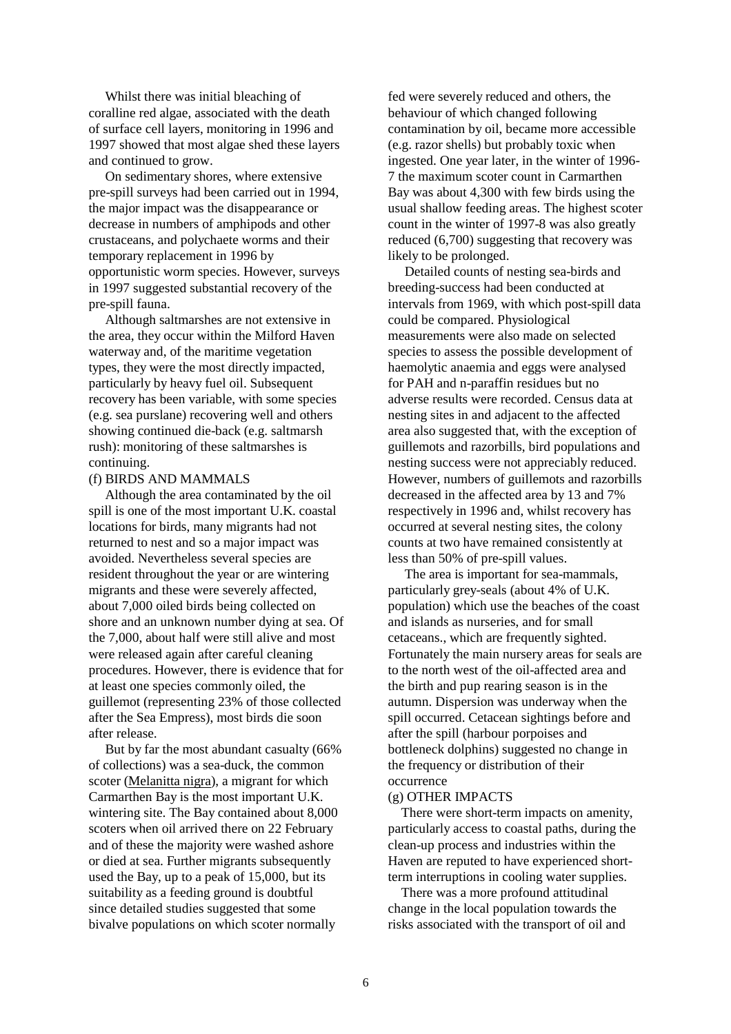Whilst there was initial bleaching of coralline red algae, associated with the death of surface cell layers, monitoring in 1996 and 1997 showed that most algae shed these layers and continued to grow.

 On sedimentary shores, where extensive pre-spill surveys had been carried out in 1994, the major impact was the disappearance or decrease in numbers of amphipods and other crustaceans, and polychaete worms and their temporary replacement in 1996 by opportunistic worm species. However, surveys in 1997 suggested substantial recovery of the pre-spill fauna.

 Although saltmarshes are not extensive in the area, they occur within the Milford Haven waterway and, of the maritime vegetation types, they were the most directly impacted, particularly by heavy fuel oil. Subsequent recovery has been variable, with some species (e.g. sea purslane) recovering well and others showing continued die-back (e.g. saltmarsh rush): monitoring of these saltmarshes is continuing.

#### (f) BIRDS AND MAMMALS

 Although the area contaminated by the oil spill is one of the most important U.K. coastal locations for birds, many migrants had not returned to nest and so a major impact was avoided. Nevertheless several species are resident throughout the year or are wintering migrants and these were severely affected, about 7,000 oiled birds being collected on shore and an unknown number dying at sea. Of the 7,000, about half were still alive and most were released again after careful cleaning procedures. However, there is evidence that for at least one species commonly oiled, the guillemot (representing 23% of those collected after the Sea Empress), most birds die soon after release.

 But by far the most abundant casualty (66% of collections) was a sea-duck, the common scoter (Melanitta nigra), a migrant for which Carmarthen Bay is the most important U.K. wintering site. The Bay contained about 8,000 scoters when oil arrived there on 22 February and of these the majority were washed ashore or died at sea. Further migrants subsequently used the Bay, up to a peak of 15,000, but its suitability as a feeding ground is doubtful since detailed studies suggested that some bivalve populations on which scoter normally

fed were severely reduced and others, the behaviour of which changed following contamination by oil, became more accessible (e.g. razor shells) but probably toxic when ingested. One year later, in the winter of 1996- 7 the maximum scoter count in Carmarthen Bay was about 4,300 with few birds using the usual shallow feeding areas. The highest scoter count in the winter of 1997-8 was also greatly reduced (6,700) suggesting that recovery was likely to be prolonged.

 Detailed counts of nesting sea-birds and breeding-success had been conducted at intervals from 1969, with which post-spill data could be compared. Physiological measurements were also made on selected species to assess the possible development of haemolytic anaemia and eggs were analysed for PAH and n-paraffin residues but no adverse results were recorded. Census data at nesting sites in and adjacent to the affected area also suggested that, with the exception of guillemots and razorbills, bird populations and nesting success were not appreciably reduced. However, numbers of guillemots and razorbills decreased in the affected area by 13 and 7% respectively in 1996 and, whilst recovery has occurred at several nesting sites, the colony counts at two have remained consistently at less than 50% of pre-spill values.

 The area is important for sea-mammals, particularly grey-seals (about 4% of U.K. population) which use the beaches of the coast and islands as nurseries, and for small cetaceans., which are frequently sighted. Fortunately the main nursery areas for seals are to the north west of the oil-affected area and the birth and pup rearing season is in the autumn. Dispersion was underway when the spill occurred. Cetacean sightings before and after the spill (harbour porpoises and bottleneck dolphins) suggested no change in the frequency or distribution of their occurrence

#### (g) OTHER IMPACTS

 There were short-term impacts on amenity, particularly access to coastal paths, during the clean-up process and industries within the Haven are reputed to have experienced shortterm interruptions in cooling water supplies.

 There was a more profound attitudinal change in the local population towards the risks associated with the transport of oil and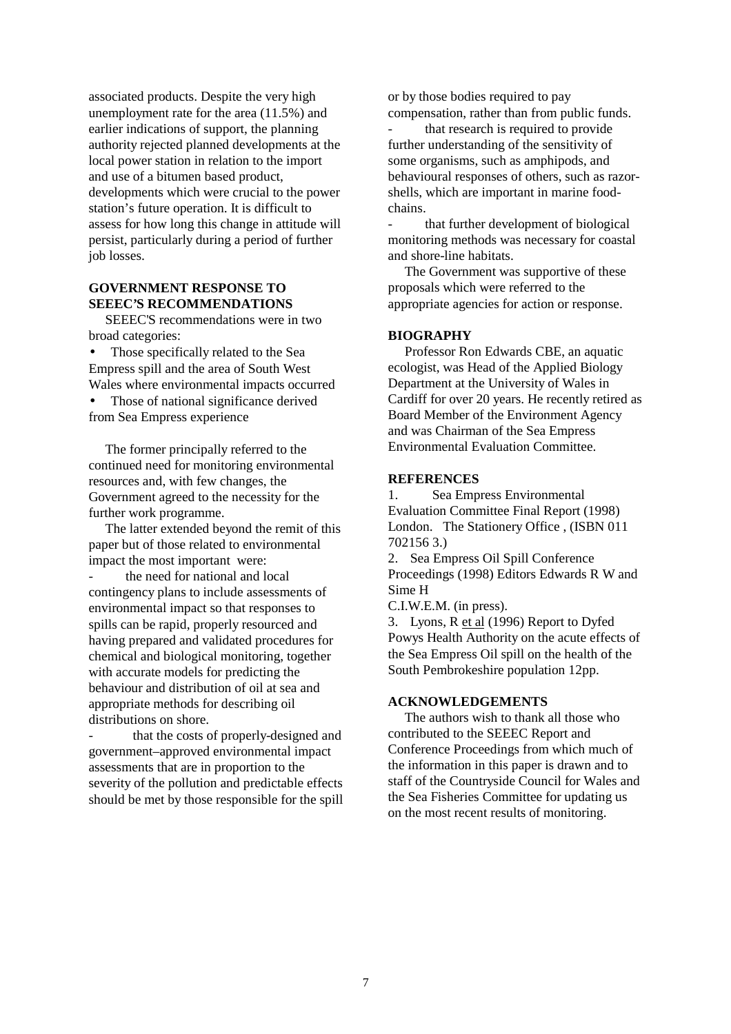associated products. Despite the very high unemployment rate for the area (11.5%) and earlier indications of support, the planning authority rejected planned developments at the local power station in relation to the import and use of a bitumen based product, developments which were crucial to the power station's future operation. It is difficult to assess for how long this change in attitude will persist, particularly during a period of further job losses.

### **GOVERNMENT RESPONSE TO SEEEC'S RECOMMENDATIONS**

 SEEEC'S recommendations were in two broad categories:

Those specifically related to the Sea Empress spill and the area of South West Wales where environmental impacts occurred

Those of national significance derived from Sea Empress experience

 The former principally referred to the continued need for monitoring environmental resources and, with few changes, the Government agreed to the necessity for the further work programme.

 The latter extended beyond the remit of this paper but of those related to environmental impact the most important were:

the need for national and local contingency plans to include assessments of environmental impact so that responses to spills can be rapid, properly resourced and having prepared and validated procedures for chemical and biological monitoring, together with accurate models for predicting the behaviour and distribution of oil at sea and appropriate methods for describing oil distributions on shore.

that the costs of properly-designed and government–approved environmental impact assessments that are in proportion to the severity of the pollution and predictable effects should be met by those responsible for the spill or by those bodies required to pay compensation, rather than from public funds.

that research is required to provide further understanding of the sensitivity of some organisms, such as amphipods, and behavioural responses of others, such as razorshells, which are important in marine foodchains.

- that further development of biological monitoring methods was necessary for coastal and shore-line habitats.

 The Government was supportive of these proposals which were referred to the appropriate agencies for action or response.

### **BIOGRAPHY**

 Professor Ron Edwards CBE, an aquatic ecologist, was Head of the Applied Biology Department at the University of Wales in Cardiff for over 20 years. He recently retired as Board Member of the Environment Agency and was Chairman of the Sea Empress Environmental Evaluation Committee.

### **REFERENCES**

1. Sea Empress Environmental Evaluation Committee Final Report (1998) London. The Stationery Office , (ISBN 011 702156 3.)

2. Sea Empress Oil Spill Conference Proceedings (1998) Editors Edwards R W and Sime H

C.I.W.E.M. (in press).

3. Lyons, R et al (1996) Report to Dyfed Powys Health Authority on the acute effects of the Sea Empress Oil spill on the health of the South Pembrokeshire population 12pp.

### **ACKNOWLEDGEMENTS**

 The authors wish to thank all those who contributed to the SEEEC Report and Conference Proceedings from which much of the information in this paper is drawn and to staff of the Countryside Council for Wales and the Sea Fisheries Committee for updating us on the most recent results of monitoring.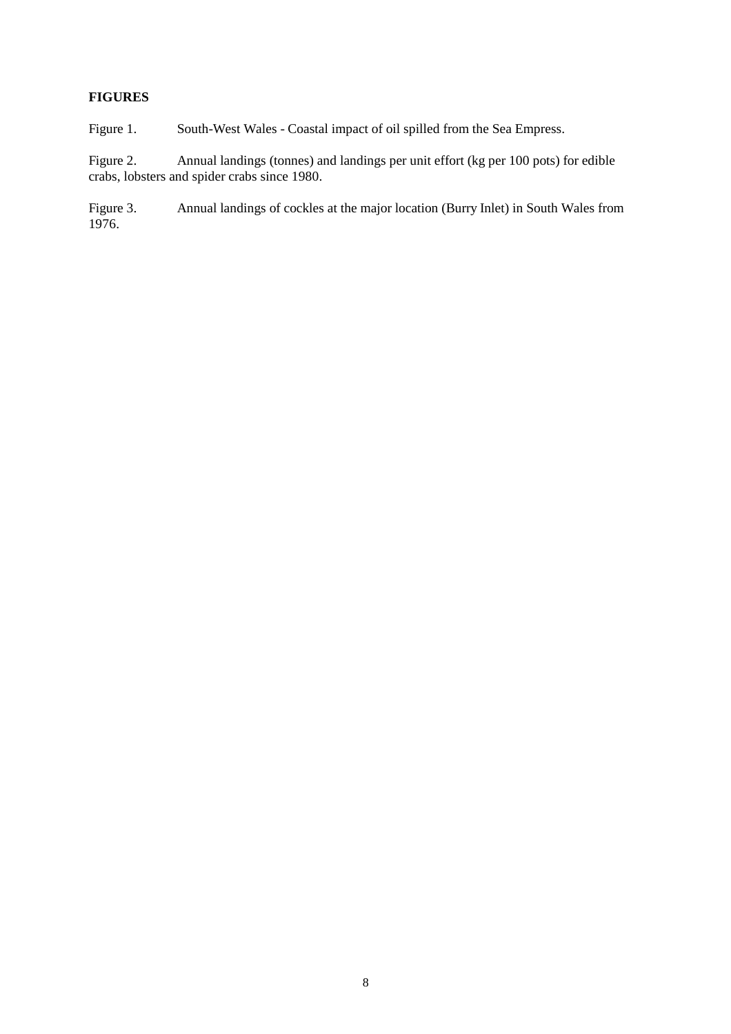## **FIGURES**

Figure 1. South-West Wales - Coastal impact of oil spilled from the Sea Empress.

Figure 2. Annual landings (tonnes) and landings per unit effort (kg per 100 pots) for edible crabs, lobsters and spider crabs since 1980.

Figure 3. Annual landings of cockles at the major location (Burry Inlet) in South Wales from 1976.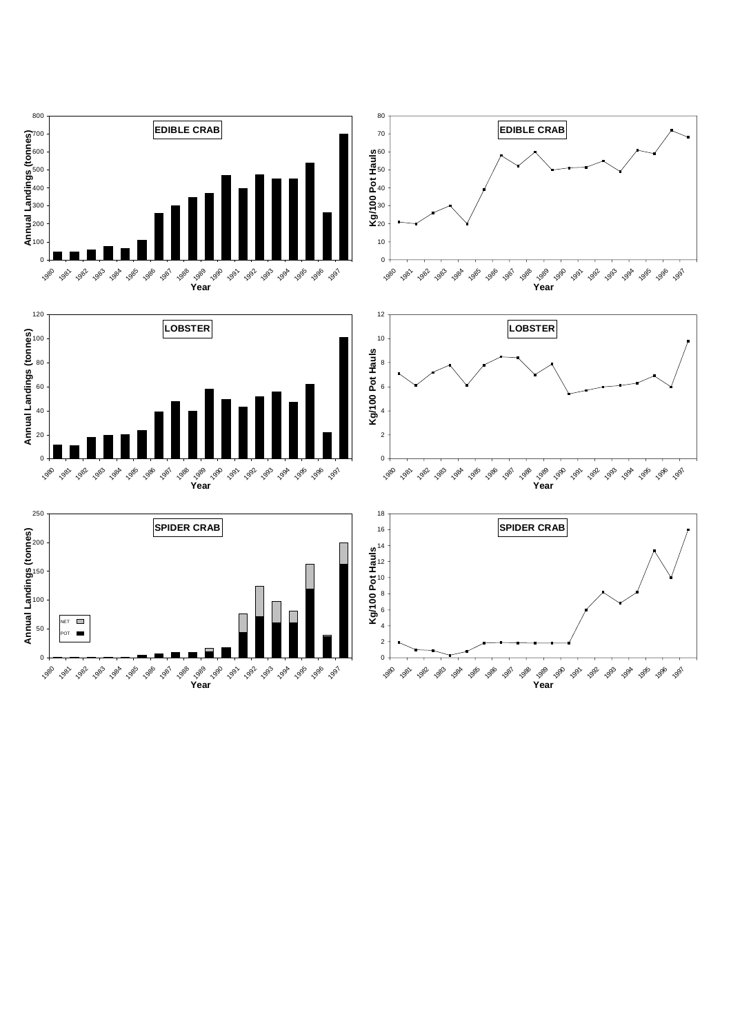

**Year**

**Year**